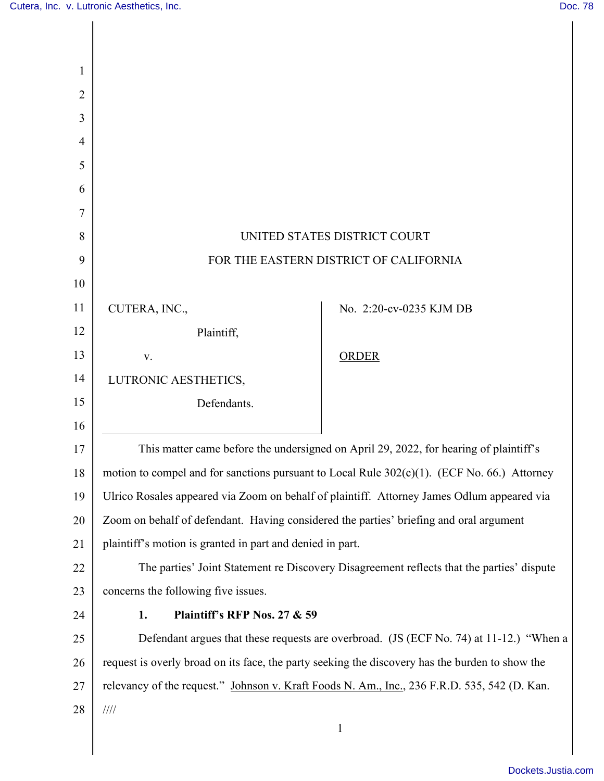| 2  |                                                                                                 |                         |
|----|-------------------------------------------------------------------------------------------------|-------------------------|
| 3  |                                                                                                 |                         |
| 4  |                                                                                                 |                         |
| 5  |                                                                                                 |                         |
| 6  |                                                                                                 |                         |
| 7  |                                                                                                 |                         |
| 8  | UNITED STATES DISTRICT COURT                                                                    |                         |
| 9  | FOR THE EASTERN DISTRICT OF CALIFORNIA                                                          |                         |
| 10 |                                                                                                 |                         |
| 11 | CUTERA, INC.,                                                                                   | No. 2:20-cv-0235 KJM DB |
| 12 | Plaintiff,                                                                                      |                         |
| 13 | V.                                                                                              | <b>ORDER</b>            |
| 14 | LUTRONIC AESTHETICS,                                                                            |                         |
| 15 | Defendants.                                                                                     |                         |
| 16 |                                                                                                 |                         |
| 17 | This matter came before the undersigned on April 29, 2022, for hearing of plaintiff's           |                         |
| 18 | motion to compel and for sanctions pursuant to Local Rule 302(c)(1). (ECF No. 66.) Attorney     |                         |
| 19 | Ulrico Rosales appeared via Zoom on behalf of plaintiff. Attorney James Odlum appeared via      |                         |
| 20 | Zoom on behalf of defendant. Having considered the parties' briefing and oral argument          |                         |
| 21 | plaintiff's motion is granted in part and denied in part.                                       |                         |
| 22 | The parties' Joint Statement re Discovery Disagreement reflects that the parties' dispute       |                         |
| 23 | concerns the following five issues.                                                             |                         |
| 24 | Plaintiff's RFP Nos. 27 & 59<br>1.                                                              |                         |
| 25 | Defendant argues that these requests are overbroad. (JS (ECF No. 74) at 11-12.) "When a         |                         |
| 26 | request is overly broad on its face, the party seeking the discovery has the burden to show the |                         |
| 27 | relevancy of the request." Johnson v. Kraft Foods N. Am., Inc., 236 F.R.D. 535, 542 (D. Kan.    |                         |
| 28 | 1111                                                                                            |                         |
|    | $\mathbf{1}$                                                                                    |                         |
|    |                                                                                                 |                         |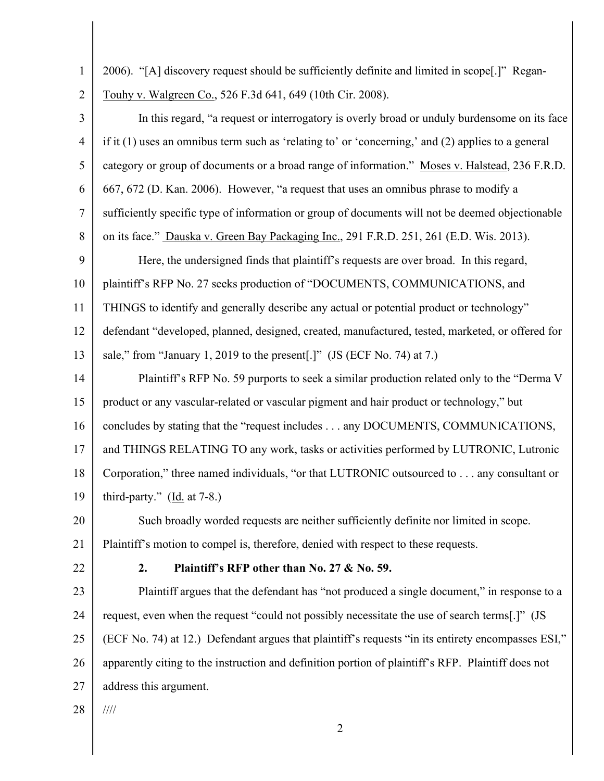1 2 3 4 5 6 7 8 9 10 11 12 13 14 15 16 17 18 19 20 21 22 23 24 25 26 27 28 2 2006). "[A] discovery request should be sufficiently definite and limited in scope[.]" Regan-Touhy v. Walgreen Co., 526 F.3d 641, 649 (10th Cir. 2008). In this regard, "a request or interrogatory is overly broad or unduly burdensome on its face if it (1) uses an omnibus term such as 'relating to' or 'concerning,' and (2) applies to a general category or group of documents or a broad range of information." Moses v. Halstead, 236 F.R.D. 667, 672 (D. Kan. 2006). However, "a request that uses an omnibus phrase to modify a sufficiently specific type of information or group of documents will not be deemed objectionable on its face." Dauska v. Green Bay Packaging Inc., 291 F.R.D. 251, 261 (E.D. Wis. 2013). Here, the undersigned finds that plaintiff's requests are over broad. In this regard, plaintiff's RFP No. 27 seeks production of "DOCUMENTS, COMMUNICATIONS, and THINGS to identify and generally describe any actual or potential product or technology" defendant "developed, planned, designed, created, manufactured, tested, marketed, or offered for sale," from "January 1, 2019 to the present[.]" (JS (ECF No. 74) at 7.) Plaintiff's RFP No. 59 purports to seek a similar production related only to the "Derma V product or any vascular-related or vascular pigment and hair product or technology," but concludes by stating that the "request includes . . . any DOCUMENTS, COMMUNICATIONS, and THINGS RELATING TO any work, tasks or activities performed by LUTRONIC, Lutronic Corporation," three named individuals, "or that LUTRONIC outsourced to . . . any consultant or third-party."  $(Id. at 7-8.)$  Such broadly worded requests are neither sufficiently definite nor limited in scope. Plaintiff's motion to compel is, therefore, denied with respect to these requests. **2. Plaintiff's RFP other than No. 27 & No. 59.**  Plaintiff argues that the defendant has "not produced a single document," in response to a request, even when the request "could not possibly necessitate the use of search terms[.]" (JS (ECF No. 74) at 12.) Defendant argues that plaintiff's requests "in its entirety encompasses ESI," apparently citing to the instruction and definition portion of plaintiff's RFP. Plaintiff does not address this argument. ////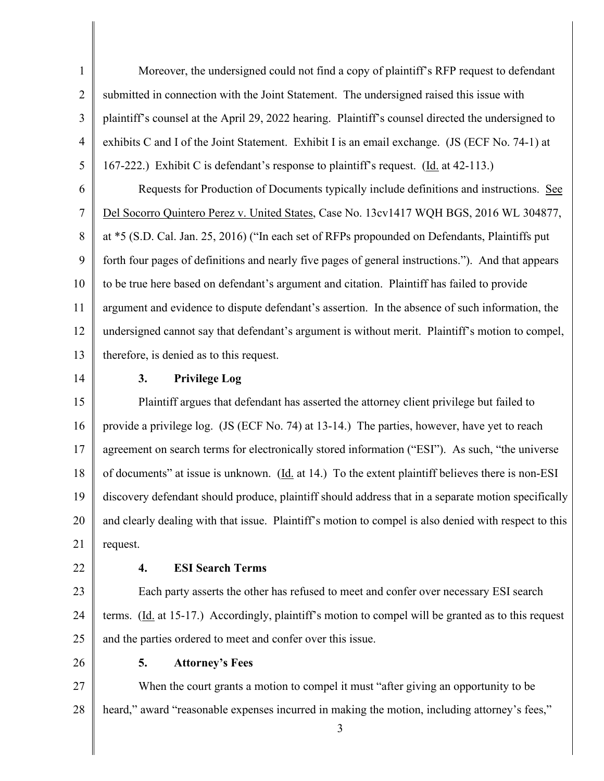1 2 3 4 5 6 7 8 9 10 11 12 13 14 15 16 17 18 19 20 21 22 23 24 25 26 Moreover, the undersigned could not find a copy of plaintiff's RFP request to defendant submitted in connection with the Joint Statement. The undersigned raised this issue with plaintiff's counsel at the April 29, 2022 hearing. Plaintiff's counsel directed the undersigned to exhibits C and I of the Joint Statement. Exhibit I is an email exchange. (JS (ECF No. 74-1) at 167-222.) Exhibit C is defendant's response to plaintiff's request. (Id. at 42-113.) Requests for Production of Documents typically include definitions and instructions. See Del Socorro Quintero Perez v. United States, Case No. 13cv1417 WQH BGS, 2016 WL 304877, at \*5 (S.D. Cal. Jan. 25, 2016) ("In each set of RFPs propounded on Defendants, Plaintiffs put forth four pages of definitions and nearly five pages of general instructions."). And that appears to be true here based on defendant's argument and citation. Plaintiff has failed to provide argument and evidence to dispute defendant's assertion. In the absence of such information, the undersigned cannot say that defendant's argument is without merit. Plaintiff's motion to compel, therefore, is denied as to this request. **3. Privilege Log** Plaintiff argues that defendant has asserted the attorney client privilege but failed to provide a privilege log. (JS (ECF No. 74) at 13-14.) The parties, however, have yet to reach agreement on search terms for electronically stored information ("ESI"). As such, "the universe of documents" at issue is unknown. (Id. at 14.) To the extent plaintiff believes there is non-ESI discovery defendant should produce, plaintiff should address that in a separate motion specifically and clearly dealing with that issue. Plaintiff's motion to compel is also denied with respect to this request. **4. ESI Search Terms** Each party asserts the other has refused to meet and confer over necessary ESI search terms. (Id. at 15-17.) Accordingly, plaintiff's motion to compel will be granted as to this request and the parties ordered to meet and confer over this issue. **5. Attorney's Fees**

27 28 When the court grants a motion to compel it must "after giving an opportunity to be heard," award "reasonable expenses incurred in making the motion, including attorney's fees,"